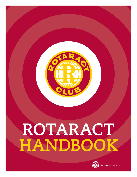# Rotaract hanDbook i **HandbookROTARACT**

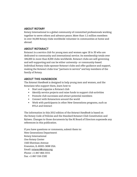#### About Rotary

Rotary International is a global community of committed professionals working together to serve others and advance peace. More than 1.2 million members in over 34,000 Rotary clubs worldwide volunteer in communities at home and abroad.

#### About Rotaract

Rotaract is a service club for young men and women ages 18 to 30 who are dedicated to community and international service. Its membership totals over 184,000 in more than 8,000 clubs worldwide. Rotaract clubs are self-governing and self-supporting and can be either university- or community-based. Individual Rotary clubs sponsor Rotaract clubs and offer guidance and support, making the Rotaract clubs true "partners in service" and key members of the family of Rotary.

#### About this handbook

The *Rotaract Handbook* is designed to help young men and women, and the Rotarians who support them, learn how to

- • Start and organize a Rotaract club
- Identify service projects and raise funds to support club activities
- • Promote club successes and attract potential members
- • Connect with Rotaractors around the world
- • Work with participants in other New Generations programs, such as RYLA and Interact

The information in this 2012 edition of the *Rotaract Handbook* is based on the Rotary Code of Policies and the Standard Rotaract Club Constitution and Bylaws. Changes to those documents by the RI Board of Directors supersede any references in this publication.

If you have questions or comments, submit them to: New Generations Department Rotary International One Rotary Center 1560 Sherman Avenue Evanston, IL 60201-3698 USA Email: [rotaract@rotary.org](mailto:rotaract@rotary.org) Phone: +1-847-866-3315 Fax: +1-847-556-2182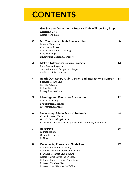# **CONTENTS**

| 1              | Get Started: Organizing a Rotaract Club in Three Easy Steps<br>Rotarians' Role<br>Rotaractors' Role                                                                                                                                                                          | 1  |
|----------------|------------------------------------------------------------------------------------------------------------------------------------------------------------------------------------------------------------------------------------------------------------------------------|----|
| $\overline{2}$ | <b>Set Your Course: Club Administration</b><br><b>Board of Directors</b><br>Club Committees<br>District Leadership Training<br>Club Meetings<br>Finding and Keeping Members                                                                                                  | 5  |
| 3              | Make a Difference: Service Projects<br>Plan Service Projects<br>Secure Financial Support for Projects<br>Publicize Club Activities                                                                                                                                           | 13 |
| 4              | Reach Out: Rotary Club, District, and International Support<br>Sponsor Rotary Club<br><b>Faculty Adviser</b><br><b>Rotary District</b><br>Rotary International                                                                                                               | 18 |
| 5              | <b>Meetings and Events for Rotaractors</b><br>District Meetings<br><b>Multidistrict Meetings</b><br><b>International Events</b>                                                                                                                                              | 22 |
| 6              | <b>Connecting: Global Service Network</b><br>Other Rotaract Clubs<br>Global Networking Groups<br>Other New Generations Programs and The Rotary Foundation                                                                                                                    | 24 |
| 7              | <b>Resources</b><br>RI Publications<br>Online Resources<br><b>RI</b> News                                                                                                                                                                                                    | 26 |
| 8              | Documents, Forms, and Guidelines<br>Rotaract Statement of Policy<br>Standard Rotaract Club Constitution<br>Standard Rotaract Club Bylaws<br>Rotaract Club Certification Form<br>Rotaract Emblem Usage Guidelines<br>Rotaract Merchandise<br>Rotaract Club Website Guidelines | 29 |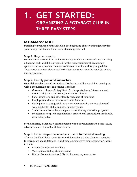# 1. Get Started: Organizing a Rotaract Club in Three Easy Steps

# Rotarians' Role

Deciding to sponsor a Rotaract club is the beginning of a rewarding journey for your Rotary club. Follow these three steps to get started.

#### Step 1: Do your research

Form a Rotaract committee to determine if your club is interested in sponsoring a Rotaract club, and if it is prepared for the responsibilities of becoming a sponsor club. Also, review the needs of the community and its young adults. Your district Rotaract chair and district Rotaract representative can offer advice and suggestions.

#### Step 2: Identify potential Rotaractors

Potential members are all around you! Brainstorm with your club to develop as wide a membership pool as possible. Consider

- • Current and former Rotary Youth Exchange students, Interactors, and RYLA participants, and Rotary Foundation alumni
- • Sons, daughters, and other family members of Rotarians
- • Employees and interns who work with Rotarians
- • Participants in young adult programs at community centers, places of worship, health clubs, and other public venues
- • Students in universities, colleges, and continuing education programs
- • Members of nonprofit organizations, professional associations, and social networking sites

For a university-based club, ask the person who has volunteered to be its faculty adviser to suggest possible club members.

#### Step 3: Invite prospective members to an informational meeting

After you've identified at least 15 potential members, invite them to a meeting to learn more about Rotaract. In addition to prospective Rotaractors, you'll want to invite

- • Rotaract committee members
- • Your sponsor Rotary club president
- • District Rotaract chair and district Rotaract representative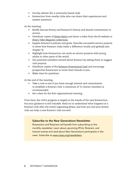- • Faculty adviser (for a university-based club)
- • Rotaractors from nearby clubs who can share their experiences and answer questions

At the meeting:

- Briefly discuss Rotary and Rotaract's history and shared commitment to service.
- • Distribute copies of *[Rotary Basics](http://shop.rotary.org/Rotary-Basics/dp/B005R0SEJM)* and show a video from the RI website or *[Rotary Video Magazine](http://www.rotary.org/en/MediaAndNews/Multimedia/RVMVideoMagazine/Pages/RVMArchive.aspx)* collections.
- • Explain Rotaract's policies and goals. Describe successful service projects to show how Rotaract clubs make a difference locally and globally (see chapter 3).
- Highlight how Rotaractors can work on service projects with young adults in other parts of the world.
- Get potential members excited about Rotaract by asking them to suggest club projects.
- Distribute copies of the Rotaract [Promotional](http://shop.rotary.org/s?searchKeywords=663&Action=submit) Card and encourage prospective Rotaractors to invite their friends to join.
- • Make time for questions.

At the end of the meeting:

- Take a vote to see if you have enough interest and commitment to establish a Rotaract club. A minimum of 15 charter members is recommended.
- • Set a date for the first organizational meeting.

From here, the club's progress is largely in the hands of the new Rotaractors, but your guidance is still valuable. Read on to understand what happens in a Rotaract club after the initial organizing phase, and how you and your Rotary club can help a new Rotaract club succeed.

#### Subscribe to the New Generations Newsletter

Rotaractors and Rotarians will benefit from subscribing to this monthly newsletter. Learn about upcoming RYLA, Rotaract, and Interact events and read about New Generations participants in the news. Subscribe at [www.rotary.org/newsletters.](http://www.rotary.org/newsletters)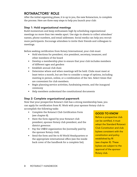### Rotaractors' Role

After the initial organizing phase, it is up to you, the new Rotaractors, to complete the process. Here are three easy steps to help you launch your club:

#### Step 1: Hold organizational meetings

Build momentum and keep enthusiasm high by scheduling organizational meetings no more than two weeks apart. Use sign-in sheets to collect attendees' names, phone numbers, and email addresses. Social media can help you recruit more participants. Encourage attendees to invite their friends and colleagues to meetings.

Before seeking certification from Rotary International, your club must:

- • Hold elections for president, vice president, secretary, treasurer, and other members of the board
- • Develop a membership plan to ensure that your club includes members of different ages and genders
- • Establish annual club dues
- • Determine where and when meetings will be held. Clubs must meet at least twice a month, but are free to consider a range of options, including meeting in person, online, or a combination of the two. Select times that are convenient for club members.
- • Begin planning service activities, fundraising events, and the inaugural ceremony
- • Help members understand the constitutional documents

#### Step 2: Complete organizational paperwork

Now that your prospective Rotaract club has a strong membership base, you can apply for certification from RI. Work with your sponsor Rotary club to accomplish the following tasks:

- • Complete the Rotaract Club Certification Form (see chapter 8).
- Have the form signed by your Rotaract club president, sponsor Rotary club president, and the district governor.
- • Pay the US\$50 organization fee (normally paid by the sponsor Rotary club).
- • Send the form and fee to RI World Headquarters or the appropriate international office (see the inside back cover of the handbook for a complete list).

#### Good to Know

Before a prospective club can be certified, it must adopt the Standard Rotaract Club Constitution and club bylaws consistent with the constitution and policy established by RI (see chapter 8). These bylaws are subject to the approval of the sponsor Rotary club.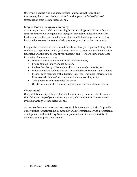Once your Rotaract club has been certified, a process that takes about four weeks, the sponsor Rotary club will receive your club's Certificate of Organization from Rotary International.

#### Step 3: Plan an inaugural ceremony

Chartering a Rotaract club is a meaningful and exciting event. Work with your sponsor Rotary club to organize an inaugural ceremony. Invite Rotary district leaders, such as the governor, Rotaract chair, and Rotaract representative. Ask local media to cover the event to help promote your club in the community.

Inaugural ceremonies are rich in tradition. Learn how your sponsor Rotary club celebrates its special occasions, and then develop a ceremony that blends Rotary traditions and the new energy of your Rotaract club. Here are some other ideas to consider for your ceremony:

- • Welcome new Rotaractors into the family of Rotary.
- • Briefly explain Rotary and its mission.
- • Review the history of Rotaract and how the new club was formed.
- Induct members individually, and announce board members and officers.
- • Present each member with a Rotaract lapel pin. (For more information on how to obtain licensed Rotaract merchandise, see chapter 8.)
- • Take photos to commemorate the event.
- • Create an inaugural ceremony program book that lists club members.

#### What's next?

Congratulations! As you begin planning for your first year, remember to seek out the advice and help of your sponsoring Rotary club and refer to the resources available through Rotary International.

Active members are the key to a successful club. A Rotaract club should provide opportunities for networking, community and international service, professional development, and socializing. Make sure your first year involves a variety of activities and projects for everyone.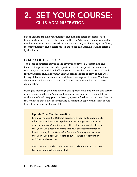# 2. Set Your Course: Club Administration

Strong leaders can help your Rotaract club find and retain members, raise funds, and carry out successful projects. The club's board of directors should be familiar with the Rotaract constitutional documents (see chapter 8). In addition, incoming Rotaract club officers must participate in leadership training offered by the district.

### Board of Directors

The board of directors serves as the governing body of a Rotaract club and includes the president, immediate past president, vice president, secretary, treasurer, and any additional officers your club decides it needs. Rotarian and faculty advisers should regularly attend board meetings to provide guidance. Rotary club members may also attend these meetings as observers. The board should meet at least once a month and report any action taken at the next club meeting.

During its meetings, the board reviews and approves the club's plans and service projects, ensures the club's financial solvency, and delegates responsibilities. At the end of the Rotary year, the board prepares a final report that describes the major actions taken over the preceding 12 months. A copy of the report should be sent to the sponsor Rotary club.

#### Update Your Club Information

Every six months, the Rotaract president is required to update club information and membership data with RI through Member Access at [www.rotary.org/memberaccess.](www.rotary.org/memberaccess) This online process lets RI know that your club is active, confirms that your contact information is listed correctly in the *Worldwide Rotaract Directory,* and ensures that your club is kept up-to-date about Rotaract, preconvention activities, and resources.

Clubs that fail to update club information and membership data over a two-year period will be terminated.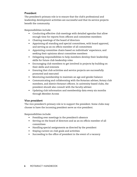#### President

The president's primary role is to ensure that the club's professional and leadership development activities are successful and that its service projects benefit the community.

Responsibilities include:

- Conducting effective club meetings with detailed agendas that allow enough time for reports from officers and committee members
- • Chairing meetings of the board of directors
- • Appointing all standing and special committees, with board approval, and serving as an ex officio member of all committees
- • Appointing committee chairs based on individuals' experience, and seeking their opinions about committee members
- Delegating responsibilities to help members develop their leadership skills for future club leadership roles
- Encouraging club members to get involved in projects by building on their skills and interests
- Ensuring that club activities and service projects are successfully promoted and executed
- Monitoring membership to maintain an age and gender balance
- Communicating and collaborating with the Rotarian adviser, Rotary club members, and district Rotaract officers. In university-based clubs, the president should also consult with the faculty adviser.
- • Updating club information and membership data every six months through Member Access

#### Vice president

The vice president's primary role is to support the president. Some clubs may choose to have the incoming president serve as vice president.

Responsibilities include:

- • Presiding over meetings in the president's absence
- • Serving on the board of directors and as an ex officio member of all committees
- • Handling special assignments as directed by the president
- • Staying current on club goals and activities
- • Succeeding to the office of president in the event of a vacancy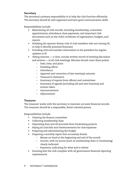#### **Secretary**

The secretary's primary responsibility is to help the club function efficiently. The secretary should be well organized and have good communication skills.

Responsibilities include:

- Maintaining all club records, including membership, committee appointments, attendance, dues payments, and important club documents such as the club's certificate of organization, budgets, and reports
- Notifying the sponsor Rotary club of club members who are turning 30, to help it identify potential Rotarians
- Providing club and member information to the president for regular updates to RI
- Taking minutes a clear, concise written record of meeting discussion and actions — at all club meetings. Minutes should cover these points:
	- – Date, time, and place
	- – Presiding officer
	- Attendance
	- Approval and correction of last meeting's minutes
	- Treasurer's statement
	- – Summary of reports from officers and committees
	- – Summary of agenda (including old and new business) and actions taken
	- Announcements
	- – Adjournment

#### **Treasurer**

The treasurer works with the secretary to maintain accurate financial records. The treasurer should be a responsible, detail-oriented person.

Responsibilities include:

- • Chairing the finance committee
- • Collecting membership dues
- • Depositing dues and all proceeds from fundraising projects
- • Paying all club bills and reimbursements for club expenses
- • Preparing and administering the budget
- • Preparing a monthly report that accurately details
	- Money on hand at the beginning and end of the month
	- Income, with its source (such as membership dues or fundraising) clearly indicated
	- – Payments, indicating for what and to whom
- Ensuring that the club complies with all government financial reporting requirements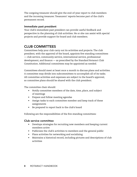The outgoing treasurer should give the end-of-year report to club members and the incoming treasurer. Treasurers' reports become part of the club's permanent record.

#### Immediate past president

Your club's immediate past president can provide useful feedback and perspective in the planning of club activities. He or she can assist with special projects and provide support for board and club members.

# Club Committees

Committees help your club carry out its activities and projects. The club president, with the approval of the board, appoints five standing committees — club service, community service, international service, professional development, and finance — as prescribed by the Standard Rotaract Club Constitution. Additional committees may be appointed as needed.

Committees should meet at least once a month to discuss plans and activities. A committee may divide into subcommittees to accomplish all of its tasks. All committee activities and expenses are subject to the board's approval, so committee plans should be shared with the club president.

The committee chair should:

- Notify committee members of the date, time, place, and subject of meetings
- • Prepare and follow meeting agendas
- Assign tasks to each committee member and keep track of these assignments
- • Be prepared to report back to the club's board

Following are the responsibilities of the five standing committees:

#### Club service committee

- Develops strategies for recruiting new members and keeping current members active
- Publicizes the club's activities to members and the general public
- • Plans activities for networking and socializing
- Maintains a historical record, including pictures and descriptions of club activities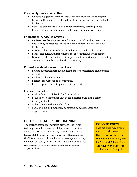#### Community service committee

- Reviews suggestions from members for community service projects to ensure they address real needs and can be successfully carried out by the club
- • Develops plans for the club's annual community service project
- Leads, organizes, and implements the community service project

#### International service committee

- Reviews members' suggestions for international service projects to ensure they address real needs and can be successfully carried out by the club
- • Develops plans for the club's annual international service project
- • Leads, organizes, and implements the international service project
- • Develops additional activities that promote international understanding among club members and in the community

#### Professional development committee

- Solicits suggestions from club members for professional development activities
- • Reviews and plans activities
- • Explores resources in the community
- • Leads, organizes, and implements the activities

#### Finance committee

- • Decides how the club will fund its activities
- Focuses on keeping dues low and maintaining the club's ability to support itself
- • Collects any district and club dues
- • Seeks in-kind and monetary donations from businesses and organizations

### District Leadership Training

The district Rotaract committee provides leadership training annually for elected club officers, committee chairs, and Rotarian and faculty advisers. The sponsor Rotary club typically covers the cost of attendance for the Rotaract club's officers, but other arrangements may be made. Contact your district Rotaract chair or Rotaract representative for more information about training opportunities.

#### Good to Know

Rotaract clubs may amend the Standard Rotaract Club Bylaws as long as the changes are in harmony with the Standard Rotaract Club Constitution and approved by the sponsor Rotary club.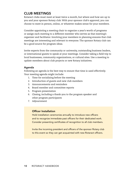### Club Meetings

Rotaract clubs must meet at least twice a month, but where and how are up to you and your sponsor Rotary club. With your sponsor club's approval, you can choose to meet in person, online, or whatever makes sense for your members.

Consider appointing a meeting chair to organize a year's worth of programs or assign each meeting to a different member who serves as that meeting's organizer and facilitator. Involving your members in planning ensures that club meetings are interesting and relevant to everyone. The sponsor Rotary club can be a good source for program ideas.

Invite experts from the community or university, outstanding business leaders, or international guests to speak at your meetings. Consider taking a field trip to local businesses, community organizations, or cultural sites. Use a meeting to update members about club projects or new Rotary initiatives.

#### Agenda

Following an agenda is the best way to ensure that time is used effectively. Your meeting agenda might include:

- 1. Time for socializing before the meeting
- 2. Introduction of guests and new club members
- 3. Announcements and reminders
- 4. Board member and committee reports
- 5. Program presentation
- 6. Closing, including a thank-you to the program speaker and other program participants
- 7. Adjournment

#### Officer Installation

Hold installation ceremonies annually to introduce new officers and to recognize immediate past officers for their dedicated work. Consider presenting certificates of recognition to all club members.

Invite the incoming president and officers of the sponsor Rotary club to this event so they can get acquainted with new Rotaract officers.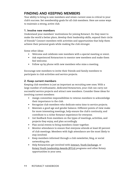# Finding and Keeping Members

Your ability to bring in new members and retain current ones is critical to your club's success. Set membership goals for all club members. Here are some ways to maintain a strong, active club.

#### 1. Involve new members

Understand your members' motivations for joining Rotaract. Do they want to make the world a better place, develop their leadership skills, expand their circle of friends? Connect members with activities and opportunities that help them achieve their personal goals while making the club stronger.

Some other ideas:

- Welcome and celebrate new members with a special meeting or event.
- • Ask experienced Rotaractors to mentor new members and make them feel welcome.
- Follow up by phone with new members who miss a meeting.

Encourage new members to invite their friends and family members to participate in club activities and service projects.

#### 2. Keep current members

Keeping club members is just as important as recruiting new ones. With a large number of enthusiastic, dedicated Rotaractors, your club can carry out successful service projects and attract new members. Consider these ideas for involving current members:

- Assign committee responsibilities to veteran members to acknowledge their importance to the club.
- Recognize club members who dedicate extra time to service projects.
- Maintain a good age and gender balance. Different points of view make for more interesting meetings, help ensure the club's continuity, and contribute to a richer Rotaract experience for everyone.
- • Get feedback from members on the types of meetings, activities, and projects they enjoy, and plan accordingly.
- Plan social events to bring members closer together.
- Monitor attendance to ensure that everyone attends at least 60 percent of club meetings. Members with high attendance are the most likely to stay involved.
- Keep members informed through a club newsletter, blog, or social networking site.
- Help Rotaractors get involved with [Interact,](http://www.rotary.org/en/StudentsAndYouth/YouthPrograms/Interact/Pages/ridefault.aspx) [Youth Exchange,](http://www.rotary.org/en/studentsandyouth/youthprograms/rotaryyouthexchange/Pages/ridefault.aspx) or Rotary Youth [Leadership](http://www.rotary.org/en/studentsandyouth/youthprograms/rotaryyouthleadershipawards(ryla)/Pages/ridefault.aspx) Awards (RYLA) programs and other Rotary opportunities in your area.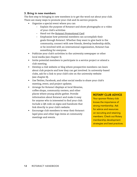#### 3. Bring in new members

The first step to bringing in new members is to get the word out about your club. There are many ways to promote your club and its service projects.

- Organize a special event where you can
	- Explain the purpose of Rotaract and show photographs or a video of your club's activities
	- – Hand out the Rotaract [Promotional](http://shop.rotary.org/s?searchKeywords=663&Action=submit) Card
	- – Emphasize how potential members can accomplish their goals through Rotaract. Whether they want to give back to the community, connect with new friends, develop leadership skills, or be involved with an international organization, Rotaract has something for everyone.
- Publicize your club's activities in the university newspaper or other local media (see chapter 3).
- • Invite potential members to participate in a service project or attend a club meeting.
- Develop a club website or blog where prospective members can learn about club projects and how they can get involved. In university-based clubs, ask for a link to your club's site on the university website (see chapter 8).
- • Use Twitter, Facebook, and other social media to share your club's meeting, event, and project updates.
- • Arrange for Rotaract displays at local libraries, coffee shops, community centers, and other places where young adults gather. Provide information about Rotaract and make it easy for anyone who is interested to find your club. Include a QR code on signs and handouts that link directly to your club's website.
- Encourage club members to wear their Rotaract lapel pins and other logo items at community meetings and events.

#### ROTARY CLUB ADVICE

Your sponsor Rotary club knows the importance of strong membership. Ask for advice and resources on recruiting and retaining members. Check out Rotary membership development strategies and best practices.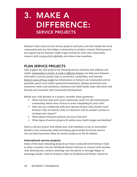# 3. Make a Difference: Service Projects

Rotaract clubs carry out two service projects each year, one that assists the local community and one that helps a community in another country. These projects are a great way for Rotaract clubs to get involved in their own community, connect with young adults globally, and attract new members.

### Plan Service Projects

Gain support for club projects by choosing service activities that address real needs. *[Communities in Action: A Guide to Effective Projects](http://www.rotary.org/RIdocuments/en_pdf/605a_en.pdf)* can help your Rotaract club select a service project that is successful, sustainable, and relevant. *Rotary's [Areas of Focus](http://www.rotary.org/RIdocuments/en_pdf/965en.pdf) Guide* has information on Rotary's six community service priorities: peace and conflict prevention/resolution, disease prevention and treatment, water and sanitation, maternal and child health, basic education and literacy, and economic and community development.

Before your club decides on a project, consider these questions:

- What services does your local community need? For the international community, which area of focus is most compelling for your club?
- • How can you collaborate with your sponsor Rotary club, another local Rotaract club, an Interact club, or a Rotaract club in another country to increase your impact?
- What district Rotaract projects can your club join?
- What types of service projects fit within your club's budget and abilities?

Select a service project that allows your club members to see an immediate benefit to the community while providing opportunities for future service. You can find innovative ideas for service projects on the RI website.

#### International service projects

Some of the most rewarding projects are those conducted with Rotaract clubs in other countries. Use the *Worldwide Rotaract Directory* to connect with another club. Send photos, conduct meetings over the phone or through Skype, or exchange emails. Look for Rotaract clubs on Facebook and Twitter. Attend an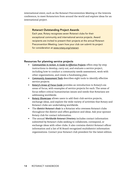international event, such as the Rotaract Preconvention Meeting or the Interota conference, to meet Rotaractors from around the world and explore ideas for an international project.

#### Rotaract Outstanding Project Awards

Each year, Rotary recognizes seven Rotaract clubs for their exceptional community and international service projects. Award recipients are invited to present their projects at the annual Rotaract Preconvention Meeting. Learn how your club can submit its project for consideration at [www.rotary.org/rotaract](http://www.rotary.org/Rotaract).

#### Resources for planning service projects

- • *[Communities in Action: A Guide to Effective Projects](http://www.rotary.org/RIdocuments/en_pdf/605a_en.pdf)* offers step-by-step instructions to develop, carry out, and evaluate a service project, including how to conduct a community needs assessment, work with other organizations, and create a fundraising plan.
- • *[Community Assessment Tools](http://www.rotary.org/RIdocuments/en_pdf/605c_en.pdf)* describes eight tools to identify effective service projects.
- • *[Rotary's Areas of Focus Guide](http://www.rotary.org/RIdocuments/en_pdf/965en.pdf)* provides an introduction to Rotary's six areas of focus, with examples of service projects for each.The areas of focus reflect critical humanitarian issues and needs that Rotarians are addressing worldwide.
- *•*  **[Rotary Showcase](http://map.rotary.org/en/project/pages/project_showcase.aspx)** allows users to add their club service projects, exchange ideas, and explore the wide variety of activities that Rotary and Rotaract clubs are undertaking worldwide.
- • The **district Rotaract chair** is a Rotarian who oversees Rotaract clubs throughout the district and offers guidance and ideas. Ask your sponsor Rotary club for contact information.
- • The annual *Worldwide Rotaract Directory* includes contact information submitted by Rotaract clubs seeking to collaborate, correspond, or exchange ideas with other clubs. It also contains district Rotaract officer information and a list of RI Board-recognized multidistrict information organizations. Contact your Rotaract club president for the latest edition.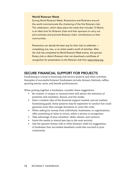#### World Rotaract Week

During World Rotaract Week, Rotaractors and Rotarians around the world commemorate the chartering of the first Rotaract club. The celebration, which takes place the week that includes 13 March, is an ideal time for Rotaract clubs and their sponsors to carry out joint activities and promote Rotaract clubs' contributions to their communities.

Rotaractors can decide the best way for their club to celebrate completing one, two, or an entire week's worth of activities. After the club has completed its World Rotaract Week events, the sponsor Rotary club or district Rotaract chair can download a certificate of recognition for presentation to the Rotaract club from <www.rotary.org>.

### Secure Financial Support for Projects

Fundraising is crucial to financing club service projects and other activities. Examples of successful Rotaract fundraisers include dinners, festivals, raffles, sporting events, races, and benefit performances.

When putting together a fundraiser, consider these suggestions:

- • Be creative. A unique or unusual event will attract the attention of potential club members, donors, and the media.
- • Have a realistic idea of the financial support needed, and set realistic fundraising goals. Some projects may be expensive to conduct but could generate more than enough donations to cover the costs.
- When asking for money from individuals, businesses, or organizations, offer something of value in return, either a service or recognition.
- • Take advantage of your members' skills, talents, and contacts.
- Invite the media to attend (see tips in the next section).
- Ask the sponsor Rotary club or other Rotaract clubs for suggestions. A fundraiser that succeeded elsewhere could also succeed in your community.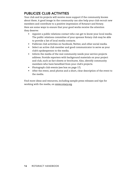# Publicize Club Activities

Your club and its projects will receive more support if the community knows about them. A good image in the community can also help your club recruit new members and contribute to a positive impression of Rotaract and Rotary. Here are some ways to ensure that your good works receive the attention they deserve:

- • Appoint a public relations contact who can get to know your local media. The public relations committee of your sponsor Rotary club may be able to provide a list of local media contacts.
- • Publicize club activities on Facebook,Twitter, and other social media.
- Select an active club member and good communicator to serve as your club's spokesperson to the media.
- Inform the media of the real community needs your service projects address. Provide reporters with background materials on your project and club, such as fact sheets or brochures. Also, identify community members who have benefited from your club's projects.
- • Photograph club events (see box on page 17).
- • After the event, send photos and a short, clear description of the event to the media.

Find more ideas and resources, including sample press releases and tips for working with the media, on<www.rotary.org>.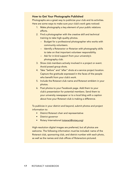#### How to Get Your Photographs Published

Photographs are a great way to publicize your club and its activities. Here are some ways to make sure your club's work gets noticed:

- 1. Make photography a key element of your public relations efforts.
- 2. Find a photographer with the creative skill and technical training to take high-quality photos.
	- Budget for a professional photographer who works with community volunteers.
	- Identify a Rotaractor or Rotarian with photography skills to take on that important volunteer responsibility.
	- Ask for in-kind support from your university's photography club.
- 3. Show club members actively involved in a project or event. Avoid posed group shots.
- 4. Take "before" and "after" shots at a service project location. Capture the gratitude expressed in the faces of the people who benefit from your club's work.
- 5. Include the Rotaract club name and Rotaract emblem in your photos.
- 6. Post photos to your Facebook page. Add them to your club's presentation for potential members. Send them to your university newspaper or to a local blog with a caption about how your Rotaract club is making a difference.

To publicize in your district and beyond, submit photos and project information to:

- • District Rotaract chair and representative
- • District governor
- Rotary International ([rotaract@rotary.org\)](mailto:rotaract@rotary.org)

High-resolution digital images are preferred, but all photos are welcome. The following information *must* be included: name of the Rotaract club, sponsoring club, and district number with each photo, as well as the names and club offices of Rotaractors pictured.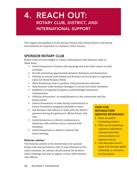# 4. Reach Out: Rotary Club, District, and International Support

The support and guidance of the sponsor Rotary club, Rotary district, and Rotary International are important to a Rotaract club's success.

# Sponsor Rotary Club

Rotary clubs are encouraged to create a lasting bond with Rotaract clubs in these ways:

- Invite Rotaractors to Rotary club meetings and have them report on their activities.
- • Provide mentoring opportunities between Rotarians and Rotaractors.
- • Develop an annual joint Rotary and Rotaract service project or signature event for World Rotaract Week.
- Show Rotaractors how to produce club promotional materials.
- • Help Rotaract clubs develop strategies to recruit and retain members.
- • Establish a recognition program to acknowledge Rotaractors' achievements.
- • Publicize Rotaractors' accomplishments to the community and the Rotary world.
- • Inform Rotaractors of other Rotary International or Rotary Foundation programs available to them.
- • Ask Rotaract club officers to meet with the district governor during the governor's official Rotary club visit.
- • Invite Rotaractors to district conferences to showcase club activities and to network with Rotarians.
- Invite Rotaractors to observe a Rotary club board meeting.

#### Rotarian adviser

The Rotarian adviser is the link between the sponsor Rotary club and its Rotaract club. To stay informed of the club's activities, the adviser should attend the Rotaract club's meetings and stay in regular contact with Rotaract club officers.

#### How can **ROTARACTORS** mentor Rotarians?

- Share successful fundraising projects.
- Offer social networking support to help Rotary clubs promote their service projects and signature events.
- Host discussion forums about club diversity, global citizenship, or innovative service projects.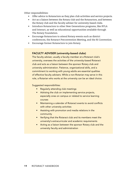Other responsibilities:

- • Offer advice to Rotaractors as they plan club activities and service projects.
- Act as a liaison between the Rotary club and the Rotaractors, and between the Rotary club and the faculty adviser for university-based clubs.
- Introduce Rotaractors to other New Generations programs, like RYLA and Interact, as well as educational opportunities available through The Rotary Foundation.
- • Encourage Rotaractors to attend Rotary events such as district conferences, the Rotaract Preconvention Meeting, and the RI Convention.
- • Encourage former Rotaractors to join Rotary.

#### FACULTY ADVISER (university-based clubs)

The faculty adviser, usually a faculty member at a Rotaract club's university, oversees the activities of the university-based Rotaract club and acts as a liaison between the sponsor Rotary club and university administration. Patience, organizational skills, and a commitment to working with young adults are essential qualities of effective faculty advisers. While a non-Rotarian may serve in this role, a Rotarian who works at the university can be an ideal choice.

Suggested responsibilities:

- Regularly attending club meetings
- Advising the club on implementing service projects, especially ones on campus or related to service learning courses
- Maintaining a calendar of Rotaract events to avoid conflicts with other university activities
- Assisting with promotion and media relations in the community
- Verifying that the Rotaract club and its members meet the university's extracurricular and academic requirements
- Acting as a liaison between the sponsor Rotary club and the university faculty and administration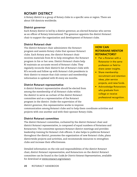### Rotary District

A Rotary district is a group of Rotary clubs in a specific area or region. There are about 530 districts worldwide.

#### District governor

Each Rotary district is led by a district governor, an elected Rotarian who serves as an officer of Rotary International. The governor appoints the district Rotaract chair to support the organization and development of Rotaract clubs.

#### District Rotaract chair

The district Rotaract chair administers the Rotaract program and assists Rotary clubs that sponsor Rotaract clubs. Each Rotary year, the district Rotaract chair receives materials from RI to help strengthen the Rotaract program in his or her area. District Rotaract chairs help RI maintain an accurate record of Rotaract clubs. They regularly reconcile their district's list of Rotaract clubs with RI's records and follow up with Rotaract club presidents in their district to ensure that club contact and membership information is updated with RI every six months.

#### District Rotaract representative

A district Rotaract representative should be elected from among the membership of all Rotaract clubs within the district to serve as cochair of the district Rotaract committee and as a representative of the Rotaract program in the district. Under the supervision of the district governor, this representative works to improve

#### How can Rotarians mentor Rotaractors?

- Pair a Rotarian with a Rotaractor in the same profession or field to share career insights.
- Share membership recruitment and retention ideas, plan service projects, and raise funds.
- • Acknowledge Rotaractors who graduate from college or receive professional recognition.

communication among Rotaract clubs and to help them coordinate activities and projects with one another and with their sponsor Rotary clubs.

#### District Rotaract committee

The district Rotaract committee, cochaired by the district Rotaract chair and district Rotaract representative, is composed of equal numbers of Rotarians and Rotaractors. The committee sponsors Rotaract district meetings and provides leadership training for Rotaract club officers. It also helps to publicize Rotaract throughout the district, promotes the organization of new Rotaract clubs, plans districtwide projects and activities, and recommends resources to strengthen clubs and increase their effectiveness.

Detailed information on the role and responsibilities of the district Rotaract chair, district Rotaract representative, and Rotaractors on the district Rotaract committee can be found in the *Guide for District Rotaract Representatives*, available for download at [www.rotaract.org/rotaract](http://www.rotaract.org/rotaract).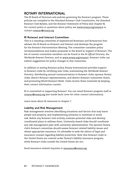### Rotary International

The RI Board of Directors sets policies governing the Rotaract program. These policies are compiled in the Standard Rotaract Club Constitution, the Standard Rotaract Club Bylaws, and the Rotaract Statement of Policy (see chapter 8). For current policy or questions about policy, see <www.rotary.org/rotaract> or contact [rotaract@rotary.org.](mailto:rotaract@rotary.org)

#### RI Rotaract and Interact Committee

This is a standing committee of experienced Rotarians and Rotaractors that advises the RI Board on Rotaract and Interact and develops the program for the Rotaract Preconvention Meeting.The committee considers policy recommendations and makes proposals to the Board in support of Rotaract. The list of current committee members can be found in the *RI Official Directory*, the *Worldwide Rotaract Directory*, and at [www.rotary.org/rotaract](http://www.rotary.org/rotaract). Rotaract clubs can submit suggestions for policy changes to this committee.

In addition to setting Rotaract policy, Rotary International provides support to Rotaract clubs by certifying new clubs; maintaining the *Worldwide Rotaract Directory;* distributing annual communications to Rotaract clubs, sponsor Rotary clubs, district Rotaract representatives, and district Rotaract committee chairs; and promoting World Rotaract Week. Clubs receive these materials by keeping their contact information current.

RI is committed to supporting Rotaract. You can email Rotaract program staff at [rotaract@rotary.org](mailto:rotaract@rotary.org) (see inside back cover for other contact information).

Learn more about RI resources in chapter 7.

#### Liability and Risk Management

Risk management involves identifying situations and factors that may harm people and property, and implementing solutions to minimize or avoid risk. Before any Rotaract club activity, evaluate potential risks and develop coordinated plans to address them. University-based clubs should coordinate any risk management plan with university administration. The sponsor Rotary club's Rotaract committee should assess Rotaract-related liability issues and obtain appropriate insurance. It's advisable to seek the advice of legal and insurance counsel regarding liability protection. Note that Rotaract clubs in the United States are covered under Rotary's liability insurance program, while Rotaract clubs outside the United States are not.

Send insurance-related inquiries to <u>insurance@rotary.org</u>.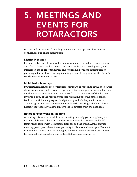# 5. Meetings and Events for Rotaractors

District and international meetings and events offer opportunities to make connections and share information.

#### District Meetings

Rotaract district meetings give Rotaractors a chance to exchange information and ideas, discuss service projects, enhance professional development, and strengthen the spirit of teamwork and friendship. For more information on planning a district-level meeting, including a sample program, see the *Guide for District Rotaract Representatives.* 

#### Multidistrict Meetings

Multidistrict meetings are conferences, seminars, or meetings at which Rotaract clubs from several districts come together to discuss important issues. The host district Rotaract representative must provide to the governors of the districts involved a copy of the meeting proposal, which includes the date, location, facilities, participants, program, budget, and proof of adequate insurance. The host governor must approve any multidistrict meetings. The host district Rotaract representative should inform the RI director from the host zone.

#### Rotaract Preconvention Meeting

Attending this international Rotaract meeting can help you strengthen your Rotaract club, learn about outstanding Rotaract service projects, and build lasting friendships with Rotaractors from around the world. At this annual meeting, participants have the opportunity to discuss a wide range of Rotaract topics in workshops and hear engaging speakers. Special sessions are offered for Rotaract club presidents and district Rotaract representatives.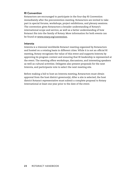#### RI Convention

Rotaractors are encouraged to participate in the four-day RI Convention immediately after the preconvention meeting. Rotaractors are invited to take part in special forums, workshops, project exhibitions, and plenary sessions. The convention gives Rotaractors a broader understanding of Rotary's international scope and service, as well as a better understanding of how Rotaract fits into the family of Rotary. More information for both events can be found at <www.rotary.org/convention>.

#### Interota

Interota is a triennial worldwide Rotaract meeting organized by Rotaractors and hosted on a rotating basis in different cities. While it is not an official RI meeting, Rotary recognizes the value of this event and supports Interota by approving its program content and ensuring that RI leadership is represented at the event. The meeting offers workshops, discussions, and interesting speakers as well as cultural activities. Delegates also present proposals for the next Interota, and participants vote to select the next meeting site.

Before making a bid to host an Interota meeting, Rotaractors must obtain approval from the host district governor(s). After a site is selected, the host district Rotaract representative must submit a complete proposal to Rotary International at least one year prior to the date of the event.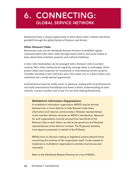# 6. Connecting: Global Service Network

Rotaractors have a unique opportunity to learn about other cultures and foster goodwill through the global family of Rotaract and Rotary.

#### Other Rotaract Clubs

Rotaractors may use the *Worldwide Rotaract Directory* to establish regular communication with other clubs through email, letters, and social media to learn about their activities, projects, and cultural traditions.

A twin-club relationship can be arranged with a Rotaract club in another country. Twin clubs communicate regularly, arrange visits or exchanges, share project ideas, and cooperate on community or international service projects. Consider choosing a twin club from your city's sister city or a place where your university has a study-abroad opportunity.

As Rotaractors travel for study, work, or pleasure, staying with local Rotaractors can build international friendships and foster a better understanding of other cultures. Contact another club to see if it can host visiting Rotaractors.

#### Multidistrict Information Organizations

A multidistrict information organization (MDIO) may be formed between two or more districts to help Rotaract clubs share information and improve communication. Rotaract representatives of the member districts comprise an MDIO's membership. Approval for such organizations must be secured from two-thirds of the Rotaract clubs in each district as well as the governors and Rotaract representatives of the districts involved. The RI general secretary must approve proposals on behalf of the RI Board.

MDIOs have no decision-making or legislative powers beyond those concerning the activities of the organization itself. Funds needed to implement a multidistrict organization's activities must be secured voluntarily.

Refer to the *Worldwide Rotaract Directory* for a list of MDIOs.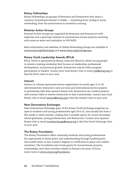#### Rotary Fellowships

Rotary Fellowships are groups of Rotarians and Rotaractors who share a common recreational interest or hobby — everything from cycling to social networking, from the environment to marathon running.

#### Rotarian Action Groups

Rotarian Action Groups are organized by Rotarians and Rotaractors with expertise and a particular interest in international service projects involving such areas as water and sanitation or HIV/AIDS.

More information and websites of Global Networking Groups are available at <www.rotary.org/fellowships> and <www.rotary.org/actiongroups>.

#### Rotary Youth Leadership Awards (RYLA)

RYLA, which is sponsored by Rotary clubs and districts, allows young people to attend a training workshop that focuses on leadership, professional development, and personal growth. Rotaractors may be either program participants or leaders. Contact your local Rotary club or email ryla[@rotary.org](mailto:RYLA@rotary.org) to find the RYLA chair in your area.

#### Interact

Interact is a Rotary-sponsored service organization for youth ages 12 to 18. Like Rotaractors, Interactors carry out local and international service projects in partnership with their sponsor Rotary club. Rotaractors can conduct projects with Interact clubs or mentor Interactors in their communities. Contact your local Rotary club or email [interact@rotary.org](mailto:interact@rotary.org) to find the Interact chair in your area.

#### New Generations Exchanges

New Generations Exchanges (part of the Rotary Youth Exchange program) are open to students and young professionals ages 18 to 25, and usually last from a few weeks to three months, making this a suitable option for recent secondary school graduates, young professionals, and Rotaractors. Contact your sponsor Rotary club or email [youthexchange@rotary.org](mailto:youthexchange@rotary.org) to find the Youth Exchange chair in your area.

#### The Rotary Foundation

The Rotary Foundation offers university students and young professionals the opportunity to foster peace and understanding through funded grants that enable them to earn master's degrees or certificates in peace and conflict resolution. The Foundation also funds grants for humanitarian projects, scholarships, and other activities related to Rotary's six areas of focus. Learn more at <www.rotary.org/foundation>.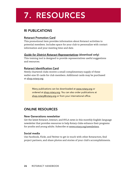# 7. Resources

# RI Publications

#### [Rotaract Promotion Card](http://shop.rotary.org/s?searchKeywords=663&Action=submit)

This promotional item provides information about Rotaract activities to potential members. Includes space for your club to personalize with contact information and your meeting time and date.

#### *[Guide for District Rotaract Representatives](http://www.rotary.org/RIdocuments/en_pdf/rotaract_208en.pdf)* (download only)

This training tool is designed to provide representatives useful suggestions and resources.

#### [Rotaract Identification Card](http://shop.rotary.org/Rotaract-Identification-Card-Set-50/dp/B0043N4YDY)

Newly chartered clubs receive a small complimentary supply of these wallet-size ID cards for club members. Additional cards may be purchased at <shop.rotary.org>.

Many publications can be downloaded at [www.rotary.org](http://www.rotary.org/en/AboutUs/SiteTools/DownloadLibrary/Pages/ridefault.aspx) or ordered at<shop.rotary.org>. You can also order publications at [shop.rotary@rotary.org](mailto:shop.rotary@rotary.org) or from your international office.

# Online Resources

#### New Generations newsletter

Get the latest Rotaract, Interact, and RYLA news in this monthly English-language newsletter that provides resources to help Rotary clubs enhance their programs for youths and young adults. Subscribe at <www.rotary.org/newsletters>.

#### Social media

Use Facebook, Flickr, and Twitter to get in touch with other Rotaractors, find project partners, and share photos and stories of your club's accomplishments*.*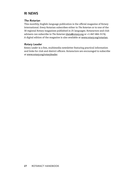### RI News

#### *The Rotarian*

This monthly, English-language publication is the official magazine of Rotary International. Every Rotarian subscribes either to *The Rotarian* or to one of the 30 regional Rotary magazines published in 25 languages. Rotaractors and club advisers can subscribe to *The Rotarian* ([data@rotary.org](mailto:data@rotary.org) or +1-847-866-3174). A digital edition of the magazine is also available at [www.rotary.org/rotarian](http://www.rotary.org/rotarian).

#### *Rotary Leader*

*Rotary Leader* is a free, multimedia newsletter featuring practical information and links for club and district officers. Rotaractors are encouraged to subscribe at [www.rotary.org/r](http://www.rotary.org/rotaryleader)otaryleader.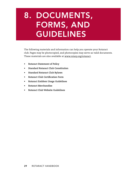# 8. Documents, Forms, and **GUIDELINES**

The following materials and information can help you operate your Rotaract club. Pages may be photocopied, and photocopies may serve as valid documents. These materials are also available at [www.rotary.org/rotaract](http://www.rotary.org/en/studentsandyouth/youthprograms/rotaract/Pages/ridefault.aspx).

- **• Rotaract Statement of Policy**
- **• Standard Rotaract Club Constitution**
- **• Standard Rotaract Club Bylaws**
- **• Rotaract Club Certification Form**
- **• Rotaract Emblem Usage Guidelines**
- **• Rotaract Merchandise**
- **• Rotaract Club Website Guidelines**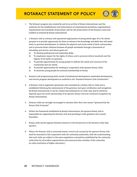# Rotaract Statement of Policy



- 1. The Rotaract program was created by and is an activity of Rotary International, and the authority for the establishment and enforcement of constitutional provisions, organizational requirements and standards of procedure, and for the preservation of the Rotaract name and emblem is retained by Rotary International.
- 2. A Rotaract club is a Rotary club-sponsored organization of young adults ages 18 to 30, whose purpose is to provide opportunity for them to enhance the knowledge and skills that will assist them in personal development, to address the physical and social needs of their communities, and to promote better relations between all people worldwide through a framework of friendship and service, and whose goals are:
	- a) To develop professional and leadership skills;
	- b) To emphasize respect for the rights of others, and to promote ethical standards and the dignity of all useful occupations;
	- c) To provide opportunities for young people to address the needs and concerns of the community and our world;
	- d) To provide opportunities for working in cooperation with sponsor Rotary clubs;
	- e) To motivate young people for eventual membership in Rotary.
- 3. Rotaract club programming shall consist of professional development, leadership development, and service program development as outlined in the "Standard Rotaract Club Constitution."
- 4. A Rotaract club is organized, sponsored, and counseled by a Rotary club or clubs and is established following the endorsement of the governor and upon certification and recognition by Rotary International; it can be created and sustained in no other way, and its existence depends upon the active sponsorship of its sponsor Rotary club and continued recognition by Rotary International.
- 5. Rotaract clubs are strongly encouraged to mention after their own names "sponsored by the Rotary Club of (name)."
- 6. Within the framework established by Rotary International, the sponsor Rotary club is responsible for organizing the Rotaract club and providing it with guidance and counsel thereafter.
- 7. Rotary clubs should appoint Rotarian mentors to the Rotaractors in the Rotaract clubs they sponsor.
- 8. Where the Rotaract club is university-based, control and counsel by the sponsor Rotary club shall be exercised in full cooperation with the university authorities, with the understanding that such clubs are subject to the same regulations and policies established by the university authorities for all student organizations and extracurricular activities of the university (or other institution of higher education.)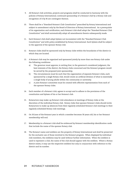- 9. All Rotaract club activities, projects and programs shall be conducted in harmony with the policies of Rotary International; continued sponsorship of a Rotaract club by a Rotary club and recognition of it by RI are contingent thereon.
- 10. There shall be a "Standard Rotaract Club Constitution" prescribed by Rotary International and subject to amendment only by the Board of Directors of Rotary International. As a prerequisite of its organization and certification, each Rotaract club shall adopt the "Standard Rotaract Club Constitution" and shall automatically adopt all amendments thereto subsequently made.
- 11. Each Rotaract club shall adopt bylaws not inconsistent with the "Standard Rotaract Club Constitution" and with policy established by Rotary International. Such bylaws shall be subject to the approval of the sponsor Rotary club.
- 12. Rotaract clubs shall be sponsored only by Rotary clubs within the boundaries of the district in which they are located.
- 13. A Rotaract club may be organized and sponsored jointly by more than one Rotary club under the following conditions:
	- a) The governor must approve, in writing that, in the governor's considered judgment, the best interests of the district, the Rotary clubs concerned and the Rotaract program would be served by the proposed joint sponsorship.
	- b) The circumstances must be such that the organization of separate Rotaract clubs, each sponsored by a single Rotary club, would create an artificial division of what is essentially a single body of young adults within the community or university.
	- c) A joint Rotaract committee must be created with effective representation from each of the sponsor Rotary clubs.
- 14. Each member of a Rotaract club, agrees to accept and to adhere to the provisions of the constitution and bylaws of his or her Rotaract club.
- 15. Rotaractors may make-up Rotaract club attendance at meetings of Rotary clubs at the discretion of the individual Rotary club. Rotary clubs that sponsor Rotaract clubs should invite Rotaractors to make up absences from their regularly scheduled Rotaract club meetings to their regularly scheduled Rotary club meetings.
- 16. On 30 June of the Rotaract year in which a member becomes 30 years old, his or her Rotaract membership will end.
- 17. Membership in a Rotaract club shall be evidenced by Rotaract membership identification cards that include the name of the sponsor Rotary club.
- 18. The Rotaract name and emblem are the property of Rotary International and shall be preserved for the exclusive use of those involved in the Rotaract program. When displayed by individual club members, the emblems may be used without further information. When the emblem is used to represent a club, the name of the club should appear with the emblem. Where a Rotary district exists, it may use the respective emblem but only in conjunction with reference to the district and its number.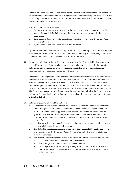- 19. Rotaract club members shall be entitled to use and display the Rotaract name and emblem in an appropriate and dignified manner during their period of membership in a Rotaract club and shall relinquish such entitlement upon termination of membership in a Rotaract club or upon the termination of the Rotaract club.
- 20. A Rotaract club may be terminated:
	- By Rotary International, with or without the consent, approval or concurrence of the sponsor Rotary club, for failure to function in accordance with its constitution, or for other cause.
	- b) By its sponsor Rotary club, after consultation with the governor and the district Rotaract representative, or
	- c) By the Rotaract club itself upon its own determination.
- 21. Upon termination of a Rotaract club, all rights and privileges relating to the name and emblem shall be relinquished by the club and by its members individually and collectively. The Rotaract club shall relinquish all financial assets to the sponsor Rotary club.
- 22. As a matter of policy, the Board does not recognize the right of any individual or organization except RI to circularize Rotaract clubs for any commercial purpose, except in the case of Rotaractors who are responsible for organizing Rotaract club, district and multidistrict meetings and only within the districts directly involved.
- 23. Governors should appoint one joint district Rotaract committee composed of equal numbers of Rotarians and Rotaractors. The district Rotaract committee chair (a Rotarian) and the district Rotaract representative (a Rotaractor) should serve as co-chairs of this committee. Where feasible and practicable in the appointment of district Rotaract committees, there should be provision for continuity of membership by appointing one or more members for a second term. The district Rotaract committee should assist the governor in publicizing the Rotaract program, promoting the organization of new Rotaract clubs, and administering the program of Rotaract within the district.
- 24. Rotaract organization beyond the club level:
	- a) A district with two or more Rotaract clubs must elect a district Rotaract representative from among their membership. The method of election shall be determined by the Rotaract membership and approved by the district Rotaract committee and district governor. The district Rotaract representative must have served as a Rotaract club president or as a member of the district Rotaract committee for one full term before taking office.
	- b) In a district with one Rotaract club, the district Rotaract representative shall be the most recent, available past Rotaract club president.
	- c) The district Rotaract representative will be guided and counseled by the Rotary governor and should work with the district Rotaract committee and other appropriate Rotary district committees.
	- d) The district Rotaract representative in conjunction with other district leaders, should:
		- 1) Develop and distribute a district Rotaract newsletter;
		- 2) Plan, arrange, and hold a district Rotaract conference;
		- 3) Encourage attendance and participation by Rotaract club officers, directors, and committee chairs at the Rotary district conference and all relevant district level training meetings;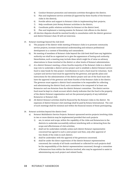- 4) Conduct Rotaract promotion and extension activities throughout the district;
- 5) Plan and implement service activities (if approved by three-fourths of the Rotaract clubs in the district);
- 6) Provide advice and support to Rotaract clubs in implementing their projects;
- 7) Help coordinate joint Rotary-Rotaract activities in the district;
- 8) Coordinate public relations activities for Rotaract at the district level;
- 9) Plan and implement a training session for Rotaract club officers in the district.
- e) All election disputes should be resolved locally in consultation with the district governor and district Rotaract chair. RI will not intervene.
- 25. Rotaract meetings beyond the club level:
	- a) The purpose of the district-wide meeting of Rotaract clubs is to promote community service projects, increase international understanding and enhance professional development in a context of friendship and camaraderie.
	- b) No meeting of members of Rotaract clubs beyond the club level shall have any legislative authority nor shall be so organized as to give the appearance of having such authority. Nevertheless, such a meeting may include ideas which might be of value as advisory observations to those involved at the district or other levels of Rotaract administration.
	- c) At a district Rotaract meeting, a three-fourths majority of the Rotaract clubs in a district may vote to undertake a district service project and to establish a district Rotaract service fund to raise funds for this project. Contributions to such a fund must be voluntary. Such a project and service fund must be approved by the governor, and specific plans and instructions for the administration of the district project and use of the fund must also have the approval of the governor and three-fourths of the Rotaract clubs in the district. The governor must appoint a district fund committee to be responsible for collecting and administering the district fund, such committee to be composed of at least one Rotaractor and one Rotarian from the district Rotaract committee. The district service fund must be kept in a bank account which clearly indicates that the fund is the property of the district Rotaract organization and not the personal property of any individual Rotaractor or Rotaract club.
	- d) All district Rotaract activities shall be financed by the Rotaract clubs in the district. No expenses of district Rotaract club meetings shall be paid by Rotary International. The cost of such meetings shall be minimal and within the financial means of those participating.
- 26. Rotaract activities beyond the district level
	- a) Rotaract Multidistrict Service Projects. Rotaract-sponsored service projects involving clubs in two or more districts may be implemented provided that such projects
		- 1) are, in nature and scope, within the capability of the clubs and Rotaractors in the districts to undertake successfully without interfering with or detracting from the scope and effectiveness of club activities;
		- 2) shall not be undertaken initially unless each district Rotaract representative concerned has agreed to such a joint project and then, only after approval of two-thirds of the clubs in each district;
		- 3) shall be undertaken with the approval of the governors concerned;
		- 4) shall be under the direct supervision of the district Rotaract representatives concerned; the custody of all funds contributed or collected for such projects shall be the responsibility of the district representatives concerned, through a committee of Rotaractors from within the districts involved, who may be appointed to assist in administering any such project and related funds;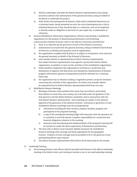- 5) shall be undertaken only after the district Rotaract representatives have jointly secured in advance the authorization of the general secretary, acting on behalf of the Board, to undertake the project;
- 6) shall involve the participation by Rotaract clubs and/or individual Rotaractors on a voluntary basis, clearly presented as such; the cost of participation by a club or individual Rotaractor, if any, should be kept to a minimum, and not be implicitly or directly made an obligation in the form of a per capita tax, or assessment or otherwise;
- b) Rotaract Multidistrict Information Organizations. Districts may develop a multidistrict organization for the purpose of disseminating information and facilitating communication between Rotaract clubs in the districts concerned, provided that
	- 1) there is no objection by the governors of each of the districts concerned;
	- 2) authorization is secured from the general secretary, acting on behalf of the RI Board of Directors, to develop and maintain such an organization;
	- 3) the organization complies with RI policy or is subject to termination of its status by the general secretary on behalf of the RI Board of Directors;
	- 4) each member district is represented by its district Rotaract representative. Each district Rotaract representative may appoint a proxy from his/her district organization, as needed, to carry out the activities of the multidistrict organization;
	- 5) funds needed to implement the organization's activities (i.e. production and distribution of regional club directories and newsletters, dissemination of Rotaract program information, general correspondence) shall be obtained on a voluntary basis only;
	- 6) the organization has no decision making or legislative powers, except for decisions concerning the activities of the organization, for which each member district (as represented by its district Rotaract representative) shall have one vote.
- c) Multidistrict Rotaract Meetings
	- 1) Meetings of Rotaract club members from more than one district, particularly from districts in more than one country, are to be held under the guidance of the host governor and the district Rotaract committee, and in conjunction with the host district Rotaract representative. Such meetings are subject to the advance approval of the governors of the districts involved. Invitations to governors to hold multidistrict Rotaract meetings must be accompanied by:
		- a) information including the date, location, purpose, facilities, program and participants of the proposed meeting;
		- b) a copy of the anticipated meeting budget with assurance that the sponsors are in a position to and will assume complete responsibility for contractual and financial obligations inherent in the meeting;
		- c) assurance that the planning and implementation of the proposed meeting will be carried out under the direct supervision of Rotaractors and Rotarians;
	- 2) The host club or district must maintain liability insurance for multidistrict Rotaract meetings with coverage and limits appropriate for the geographic location. Evidence of such coverage must be provided to RI or the governor of any participating district upon request.
	- 3) The district Rotaract representative shall inform the RI director(s) for the zone(s).
- 27. Leadership Training
	- a) All incoming Rotaract club officers shall be provided with Rotaract club officers leadership training at the district level, such training to include a one to two-day leadership training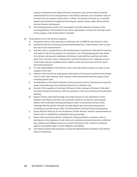seminar facilitated by the district Rotaract committee chair and the district Rotaract representative for all incoming Rotaract club officers, directors, and committee chairs to be paid for by the sponsor Rotary clubs, or where circumstances dictate, by a mutually agreed-upon financial arrangement involving the sponsor Rotary clubs, Rotary district, and the Rotaract participants.

- b) All incoming governors-elect are encouraged to provide adequate training to their incoming Rotaract club presidents and, where appropriate, include such training as part of the program of the Rotary district assembly.
- 28. Financing the cost of the Rotaract program:
	- a) All sponsor Rotary clubs must pay a certification fee of US\$50 for new Rotaract clubs.
	- b) Individual Rotaractors shall pay annual membership fees to their Rotaract club to cover the cost of club administration.
	- c) Any fees, dues or assessments on the membership of any Rotaract club shall be nominal and shall be only for the purpose of covering the cost of administering the club; funds for activities and projects undertaken by Rotaract clubs shall be raised by such clubs apart from such fees, dues or assessments and shall be placed into a separate account. A thorough audit by a qualified person shall be made once each year of all the club's financial transactions.
	- d) It is the responsibility of the Rotaract club to raise the funds necessary to carry out the program of the club.
	- e) Rotaract clubs should not make general solicitations for financial assistance from Rotary clubs or from other Rotaract clubs. Sponsor clubs may provide financial support when mutually agreed upon.
	- f) Contributions to fund district Rotaract service projects must be voluntary and cannot be made enforceable upon the individual Rotaractor or Rotaract club.
	- g) No part of the expenses of meetings of Rotaract clubs or groups of Rotaract clubs shall be paid by Rotary International, with the exception of the annual Rotaract Preconvention Meeting.
	- h) Sponsor Rotary clubs shall strongly encourage and pay for the attendance of their Rotaract club officers, directors and committee chairs at all relevant and necessary district-level leadership training meetings (or, when circumstances dictate, these meetings shall be paid for through mutually agreed upon financial arrangements involving the sponsor Rotary clubs, the Rotary district and the Rotaract participants).
	- i) Rotary districts shall pay for the attendance of their districts' Rotaract representatives at district-level or multidistrict leadership training meetings.
	- j) Rotary clubs and Rotary district conferences inviting members or Rotaract clubs to participate in the programs of such clubs and conferences should subscribe to sufficient trip, accident and liability insurance to protect the Rotary club or district conference against any possible legal or moral obligation and liability.
	- k) The district should make provisions to fund the administrative activities of the District Rotaract committee.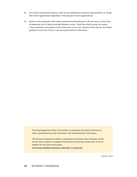- 29. As a matter of principle, Rotaract clubs are not authorized to assume membership in or merge with other organizations regardless of the purpose of such organizations.
- 30. Rotaract club presidents shall submit updated membership lists to RI each year no later than 30 September and 31 March through Member Access. These lists shall include the names, e-mail addresses, and gender of each Rotaractor in the club. Rotaract clubs that do not submit updated contact lists to RI in a two-year period will be terminated.

The Board regularly reviews and amends, as necessary, the *Rotaract Statement of Policy*, *Standard Rotaract Club Constitution*, and *Standard Rotaract Club Bylaws*.

The Rotaract Statement of Policy is excerpted from Rotary Code of Policies, Article 41.020, and is subject to change by the RI Board of Directors. Please refer to the RI website for the most recent policy: [www.rotary.org/RIdocuments/en\\_pdf/code\\_ri\\_current.pd](http://www.rotary.org/RIdocuments/en_pdf/code_ri_current.pdf)f

660-EN—(1012)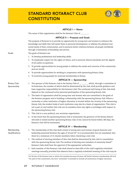# Standard Rotaract Club **CONSTITUTION**



#### ARTICLE I — Name

The name of this organization shall be the Rotaract Club of \_

#### ARTICLE II — Purpose and Goals

The purpose of Rotaract is to provide an opportunity for young men and women to enhance the knowledge and skills that will assist them in personal development, to address the physical and social needs of their communities, and to promote better relations between all people worldwide through a framework of friendship and service.

#### The goals of Rotaract are:

- 1. To develop professional and leadership skills;
- 2. To emphasize respect for the rights of others, and to promote ethical standards and the dignity of all useful occupations;
- 3. To provide opportunities for young people to address the needs and concerns of the community and our world;
- 4. To provide opportunities for working in cooperation with sponsoring Rotary clubs;
- 5. To motivate young people for eventual membership in Rotary.

#### ARTICLE III — Sponsorship

#### Rotary Club Sponsorship

- 1. The sponsor of this Rotaract club is the Rotary Club of \_\_\_\_\_\_\_\_\_\_ which, through a committee of its Rotarians, the number of which shall be determined by the club, shall provide guidance and have supportive responsibility for this Rotaract club. The continued well-being of this club shall depend on the continued active personal participation of the sponsoring Rotary club.
- 2. The basis of organization shall be young men and women who are committed to the goals of the Rotaract program and to building a relationship with the sponsoring Rotary club. Where a university or other institution of higher education is located within the vicinity of the sponsoring Rotary club, the student body of each institution may also be a basis of organization.This club is not a part of, and neither this club nor its members have any rights or privileges with respect to, the sponsoring Rotary club.
- 3. This club is a non-political, non-sectarian organization.
- 4. In the event that the sponsoring Rotary club is terminated, the governor of the Rotary district will seek to install another sponsoring Rotary club; if one cannot be found within 180 days, the Rotaract club will be terminated.

#### ARTICLE IV — Membership

Membership Qualifications

- 1. The membership of this club shall consist of young men and women of good character and leadership potential between the ages of 18 and 30.\* It is recommended, but not mandated, that there be a minimum of 15 charter members when chartering a new club.
	- 2. The method of electing members of this club shall be determined by this club in consultation with the sponsoring Rotary club. The method of electing new members of university-based\*\* Rotaract clubs shall have the approval of the appropriate authorities.
	- 3. Each member of this Rotaract club shall attend at least 60% of the club's regularly scheduled meetings annually, provided that absence from a regularly scheduled meeting of the club may be

Goals

<sup>\*</sup>On 30 June of the Rotaract year in which the member becomes 30 years old his/her Rotaract membership will end. \*\*As used in this constitution, the term "university" is intended to include all institutions of higher education.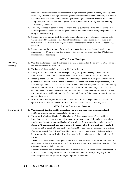made up as follows: any member absent from a regular meeting of this club may make up such absence by attendance at a regular meeting of any other Rotaract club or any Rotary club on any day of the two weeks immediately preceding or following the day of the absence, or attendance and participation in a club service project or a club-sponsored community event or meeting authorized by the board.

- 4. All Rotary Foundation scholars, who are within the age guidelines adopted by the board for the Rotaract program, shall be eligible for guest Rotaract club membership during the period of their study in another country.
- 5. Membership shall automatically terminate (a) upon failure to meet attendance requirements unless excused by the board of directors of this club for good and sufficient reason or (b) by termination of the club or (c) on 30 June of the Rotaract year in which the member becomes 30 years old.
- 6. Membership may be terminated (a) upon failure to continue to meet the qualifications for membership, or (b) for cause, as determined by this club by vote of not less than 2/3 of all the members in good standing.

#### ARTICLE V — Meetings

Bimonthly Meetings

- 1. The club shall meet not less than twice per month, as provided in the by-laws, at a time suited to the convenience of the members.
- 2. The board of directors shall meet as provided in the by-laws.
- 3. Rotary International recommends each sponsoring Rotary club to designate one or more members of its club to attend the meeting(s) of its Rotaract club(s) at least once a month.
- 4. Meetings of the club and of the board of directors may be cancelled during holiday or vacation periods at the discretion of the board of directors. The board may cancel a regular meeting if it falls on a legal holiday or in case of the death of a club member, an epidemic, a disaster affecting the whole community, or an armed conflict in the community that endangers the lives of the club members. The board may cancel not more than four regular meetings in a year for causes not otherwise specified herein provided that this club does not fail to meet for more than three consecutive meetings.
- 5. Minutes of the meetings of the club and board of directors shall be provided to the chair of the sponsor Rotary club's Rotaract committee within two weeks after each meeting is held.

#### ARTICLE VI — Officers and Directors

Governing Body

- 1. The officers of this club shall be a president, vice-president, secretary, treasurer and such additional officer(s) as may be provided in the by-laws.
- 2. The governing body of this club shall be a board of directors composed of the president, immediate past president, vice-president, secretary, treasurer, and additional directors whose number shall be determined by this club, all to be elected from among the members in good standing. All decisions, policies, and actions of the board and of the club shall be subject to the provisions of this constitution and policy established by Rotary International and its members. If university-based, this club shall be subject to the same regulations and policies established by the appropriate authorities for all student organizations and extracurricular activities of the university.

 The board of directors shall have general control over all officers and committees and may, for good cause, declare any office vacant. It shall constitute a board of appeals from the rulings of all officers and actions of all committees.

3. Elections of officers and directors shall be held annually prior to 1 March by methods compatible with local customs and procedures, but in no case shall more than simple majority of the members present and in good standing be required for elections.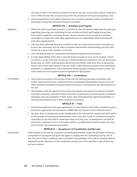|              | The term of office of all officers and directors shall be one year. No provisions shall be made for a<br>term of office shorter than one year except with the permission of the sponsoring Rotary club.                                                                                                                                                                                                                                                                                                                                                                                             |
|--------------|-----------------------------------------------------------------------------------------------------------------------------------------------------------------------------------------------------------------------------------------------------------------------------------------------------------------------------------------------------------------------------------------------------------------------------------------------------------------------------------------------------------------------------------------------------------------------------------------------------|
|              | 4. All incoming Rotaract club officers, directors, and committee chairmen shall be provided with<br>leadership training from the district Rotaract committee.                                                                                                                                                                                                                                                                                                                                                                                                                                       |
|              | <b>ARTICLE VII - Activities and Projects</b>                                                                                                                                                                                                                                                                                                                                                                                                                                                                                                                                                        |
| Objective    | 1. Within the limits prescribed in Section 1 of Article III, this club shall be responsible for planning,<br>organizing, financing, and conducting its own activities and shall itself supply money, labor,<br>and creative imagination necessary thereto, except in the case of joint projects or activities<br>undertaken in cooperation with other organizations, such responsibility shall be shared with<br>such other organization(s).                                                                                                                                                        |
|              | 2. This club shall undertake among its activities at least two major service projects annually, one<br>to serve the community and the other to promote international understanding, and each shall<br>involve all or most of the members of the club.                                                                                                                                                                                                                                                                                                                                               |
|              | 3. This club shall provide for a professional development program for its members.                                                                                                                                                                                                                                                                                                                                                                                                                                                                                                                  |
|              | 4. It is the responsibility of the club to raise the funds necessary to carry out its program. It shall<br>not solicit or accept more than occasional or incidental financial assistance from the sponsoring<br>Rotary club, nor shall it make general solicitations from Rotary clubs other than its sponsoring<br>Rotary club or from other Rotaract clubs; nor shall it solicit financial assistance from individuals,<br>businesses, or organizations in the community without giving something of value in return. All<br>funds raised for service projects must be expended for that purpose. |
|              | <b>ARTICLE VIII - Committees</b>                                                                                                                                                                                                                                                                                                                                                                                                                                                                                                                                                                    |
| Committees   | 1. There shall be provided in the by-laws of this club the following standing committees; club<br>service, international service, community service, professional development, finance, and such<br>other standing committees as may be deemed necessary or convenient for the administration of<br>the club.                                                                                                                                                                                                                                                                                       |
|              | 2. The president, with the approval of the board, may appoint such special committees as he/she<br>may deem necessary, citing their duties at the time of appointment. All such special committees<br>shall lapse upon the completion of their duties, upon discharge by the appointing president, or<br>with the end of his/her term of office, whichever occurs first.                                                                                                                                                                                                                            |
|              | <b>ARTICLE IX - Fees</b>                                                                                                                                                                                                                                                                                                                                                                                                                                                                                                                                                                            |
| Fees         | 1. Each sponsoring Rotary club upon organization of a new Rotaract club shall be required to pay an<br>RI Rotaract organization fee equivalent to US\$50 with the "Rotaract Club Certification Form."                                                                                                                                                                                                                                                                                                                                                                                               |
|              | 2. Any fees, dues, or assessments on the membership of the club shall be nominal and shall only be<br>for the purpose of meeting the administrative costs of the club. Funds for activities and projects<br>undertaken by the club shall be raised apart from such fees, dues, or assessments and shall be<br>placed into a separate account. A thorough audit by a qualified person shall be made once each<br>year of all the club's financial transactions.                                                                                                                                      |
|              | ARTICLE X - Acceptance of Constitution and By-Laws                                                                                                                                                                                                                                                                                                                                                                                                                                                                                                                                                  |
| Constitution | Every member of the club, by acceptance of membership, thereby accepts the principles of Rotaract<br>as expressed in its purpose and goals and agrees to comply with the constitution and by-laws of<br>this club, and on these conditions alone is entitled to the privileges of the club. No member shall be<br>absolved from the observance of the constitution and by-laws on the plea that a copy of them has<br>not been received.                                                                                                                                                            |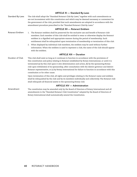#### ARTICLE XI — Standard By-Laws

| Standard By-Laws | The club shall adopt the "Standard Rotaract Club By-Laws," together with such amendments as<br>are not inconsistent with this constitution and which may be deemed necessary or convenient for<br>the government of the club, provided that such amendments are adopted in accordance with the<br>amendment procedure prescribed in the "Standard Rotaract Club By-Laws."                                                                                                                                                                                       |
|------------------|-----------------------------------------------------------------------------------------------------------------------------------------------------------------------------------------------------------------------------------------------------------------------------------------------------------------------------------------------------------------------------------------------------------------------------------------------------------------------------------------------------------------------------------------------------------------|
|                  | <b>ARTICLE XII - Rotaract Emblem</b>                                                                                                                                                                                                                                                                                                                                                                                                                                                                                                                            |
| Rotaract Emblem  | 1. The Rotaract emblem shall be preserved for the exclusive use and benefit of Rotaract club<br>members. Each member of this club shall be entitled to wear or otherwise display the Rotaract<br>emblem in a dignified and appropriate manner during the period of membership. Such<br>entitlement shall be relinquished upon termination of membership or termination of this club.                                                                                                                                                                            |
|                  | 2. When displayed by individual club members, the emblem may be used without further<br>information. When the emblem is used to represent a club, the name of the club should appear<br>with the emblem.                                                                                                                                                                                                                                                                                                                                                        |
|                  | <b>ARTICLE XIII - Duration</b>                                                                                                                                                                                                                                                                                                                                                                                                                                                                                                                                  |
| Duration of Club | This club shall exist so long as it continues to function in accordance with the provisions of<br>this constitution and policy relating to Rotaract established by Rotary International, or until it is<br>terminated (a) by this club upon it own determination and action, (b) by the sponsoring Rotary<br>club upon withdrawal of its sponsorship, after consultation with the district governor and district<br>Rotaract representative, or (c) by Rotary International for failure to function in accordance with this<br>constitution or for other cause. |
|                  | Upon termination of this club, all rights and privileges relating to the Rotaract name and emblem<br>shall be relinquished by the club and by its members individually and collectively. The Rotaract club<br>shall relinquish all financial assets to the sponsoring Rotary club.                                                                                                                                                                                                                                                                              |
|                  | <b>ARTICLE XIV - Administration</b>                                                                                                                                                                                                                                                                                                                                                                                                                                                                                                                             |
| Amendment        | The constitution may be amended only by the Board of Directors of Rotary International and all<br>amendments to the "Standard Rotaract Club Constitution" adopted by the Board of Directors of                                                                                                                                                                                                                                                                                                                                                                  |

Rotary International shall automatically amend the Constitution.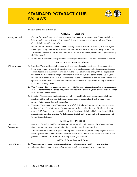# STANDARD ROTARACT CLUB BY-LAWS



By-Laws of the Rotaract Club of \_\_\_\_\_\_\_\_\_\_\_\_.

#### ARTICLE I — Elections

Voting Method

- 1. Election for the offices of president, vice-president, secretary, treasurer, and directors shall be held annually prior to 1 March. A Rotaract club year is the same as a Rotary club year. Those elected shall take office on 1 July.
	- 2. Nominations of officers shall be made in writing. Candidates shall be voted upon at the regular meeting following the meeting at which nominations are made. Voting shall be by secret ballot. Those candidates receiving a majority of the votes of the members present and in good standing shall be elected.
	- 3. In addition to president, vice-president, secretary, and treasurer there shall be elected directors.

#### ARTICLE II — Duties of Officers

- 1. President. The president shall preside at all regular and special meetings of the club and the board of directors. He/she shall, with the approval of the board, appoint all standing and special committees and, in the event of a vacancy in the board of directors, shall, with the approval of the board, fill such vacancy by appointment until the next regular election of the club. He/she shall be an ex officio member of all committees. He/she shall maintain communication with the sponsor club and the district Rotaract representative to ensure they are continually informed of all actions taken by the club. Official Duties
	- 2. Vice-President. The vice-president shall succeed to the office of president in the event or removal of the latter for whatever cause, and, in the absence of the president, shall preside at all meetings of the club and of the board.
	- 3. Secretary. The secretary shall maintain all club records, He/she shall keep minutes of all the meetings of the club and board of directors, and provide copies of such to the chair of the sponsor Rotary club's Rotaract committee.
	- 4. Treasurer. The treasurer shall have custody of all club funds, maintaining all necessary records and depositing all such funds in a bank approved by the board of directors. He/she shall report on the club's financial status at each meeting of the club and shall hold all records available for inspection by any club member. All disbursements shall be by check and with the signature of two authorized officers.

#### ARTICLE III — Meetings

1. Meetings of the club shall be not less than twice a month, and meetings of the board not less than once a month, at a time suited to the convenience of the membership. Quorum Requirement

2. A majority of the members in good standing shall constitute a quorum at any regular or special meeting of the club. Any four members of the board, one of whom must be the president or vicepresident, shall constitute a quorum at any meeting of the board.

#### ARTICLE IV — Fees and Dues

Fees and Dues

- 1. The admission for the new members shall be  $\_\_$ . Annual dues shall be  $\_\_$  per member.
	- 2. All fees and dues must be paid before a member will be considered in good standing.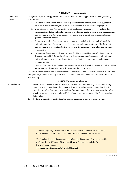|            | <b>ARTICLE V - Committees</b>                                                                                                                                                                                                                                                                                                                                                                      |
|------------|----------------------------------------------------------------------------------------------------------------------------------------------------------------------------------------------------------------------------------------------------------------------------------------------------------------------------------------------------------------------------------------------------|
| Committee  | The president, with the approval of the board of directors, shall appoint the following standing                                                                                                                                                                                                                                                                                                   |
| Duties     | committees:                                                                                                                                                                                                                                                                                                                                                                                        |
|            | 1. Club service. This committee shall be responsible for attendance, membership, programs,<br>fellowship, public relations, and such other matters as may be deemed appropriate.                                                                                                                                                                                                                   |
|            | 2. International service. This committee shall be charged with primary responsibility for<br>enhancing knowledge and understanding of worldwide needs, problems, and opportunities<br>and developing activities to give service for promoting international understanding and<br>goodwill toward all people.                                                                                       |
|            | 3. Community service. This committee shall have responsibility for enhancing knowledge<br>and understanding of community needs, problems and opportunities, and for formulating<br>and developing appropriate activities for serving the community (including the university<br>community).                                                                                                        |
|            | 4. Professional development. This committee shall be responsible for developing a program<br>designed to provide information about a wide cross-section of businesses and professions<br>and to stimulate awareness and acceptance of high ethical standards in business and<br>professional life.                                                                                                 |
|            | 5. Finance. This committee shall devise ways and means of financing any and all club activities<br>requiring funds, in cooperation with the appropriate committee.                                                                                                                                                                                                                                 |
|            | The international service and community service committees shall each have the duty of initiating<br>and planning one major activity in its field each year which shall involve all or most of the club<br>membership.                                                                                                                                                                             |
|            | <b>ARTICLE VI - Amendments</b>                                                                                                                                                                                                                                                                                                                                                                     |
| Amendments | These by-laws may be amended by majority vote of the members in good standing at any<br>1.<br>regular or special meeting of the club at which a quorum is present, provided notice of<br>intention to call such a vote is given at least fourteen days earlier at a meeting of the club at<br>which a quorum is present, and provided such amendment is approved by the sponsoring<br>Rotary club. |
|            | Nothing in these by-laws shall contravene any provision of this club's constitution.<br>2.                                                                                                                                                                                                                                                                                                         |

The Board regularly reviews and amends, as necessary, the *Rotaract Statement of Policy*, *Standard Rotaract Club Constitution*, and *Standard Rotaract Club Bylaws*.

The *Standard Rotaract Club Constitution* and *Standard Rotaract Club Bylaws* are subject to change by the RI Board of Directors. Please refer to the RI website for the most recent policy:

[www.rotary.org/RIdocuments/en\\_pdf/661en.pdf](http://www.rotary.org/RIdocuments/en_pdf/661en.pdf)

661-EN—(1012)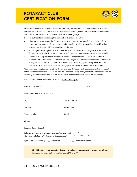# Rotaract Club Certification Form



This form serves as the official notification to Rotary International of the organization of a new Rotaract club. To receive a Certificate of Organization from RI, new Rotaract clubs must work with their sponsor Rotary club to complete all of the following steps:

- 1. Fill out this form, including the name of each charter member.
- 2. Obtain the signatures of the district governor and sponsor Rotary club president. If there is more than one sponsor Rotary club, each Rotary club president must sign. Note: RI will not process this document if any signature is missing.
- 3. Make copies of the signed form and distribute it to the Rotaract club, sponsor Rotary club, district governor, district Rotaract chair, and district Rotaract representative to keep on file.
- 4. Submit this completed form along with the US\$50 organization fee (payable to "Rotary International" and noting the Rotaract club's name) to the RI international office serving your area (see the *Rotaract Handbook* for the payment address). If payment is by electronic funds transfer or to a fiscal agent, a copy of the payment must be attached to the document.

After receiving complete information, RI will mail the Certificate of Organization to the president of the sponsor Rotary club. If there are multiple sponsor Rotary clubs, certification materials will be sent only to the first club that is listed on the form. Please allow four weeks for processing.

| Rotaract Club Name                                                                                        | District                                                                        |
|-----------------------------------------------------------------------------------------------------------|---------------------------------------------------------------------------------|
| Mailing Address of Rotaract Club                                                                          |                                                                                 |
| City                                                                                                      | State/Province                                                                  |
| Country                                                                                                   | Postal Code                                                                     |
| Phone Number                                                                                              | Email                                                                           |
| Website                                                                                                   |                                                                                 |
| Sponsor Rotary Club(s)<br>Rotaract club's date of organization (day/month/year): _                        | MM<br><b>YYYY</b><br><b>DD</b>                                                  |
| (date will be listed on Certificate of Organization)<br>Type of club (check one): $\Box$ University-based | $\Box$ Community-based                                                          |
| All members must be between the ages of 18 and 30.                                                        | The RI Board recommends, but does not mandate, a minimum of 15 charter members. |

Please submit all certification questions to [rotaract@rotary.org.](mailto:rotaract@rotary.org)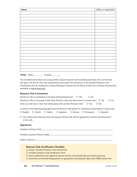| Name | (Officer, if applicable) |
|------|--------------------------|
|      |                          |
|      |                          |
|      |                          |
|      |                          |
|      |                          |
|      |                          |
|      |                          |
|      |                          |
|      |                          |
|      |                          |
|      |                          |
|      |                          |
|      |                          |
|      |                          |
|      |                          |
|      |                          |
|      |                          |
|      |                          |
|      |                          |
|      |                          |
|      |                          |

The members listed above are young adults of good character and leadership potential, who are between the ages of 18 and 30. This club understands and accepts the provisions of the Standard Rotaract Club Constitution and the Statement of Policy Relating to Rotaract by the Board of Directors of Rotary International (available at <www.rotary.org>).

#### Rotaract Club Connections

| Would you like to participate in hosting visiting Rotaractors?                                   | $\Box$ Yes | ⊟ No       |                   |           |
|--------------------------------------------------------------------------------------------------|------------|------------|-------------------|-----------|
| Would you like to correspond with other Rotaract clubs and allow them to contact you? $\Box$ Yes |            |            |                   | $\Box$ No |
| Does you club have a twin club relationship with another Rotaract club?                          |            | $\Box$ Yes | $\overline{1}$ No |           |

In which of the following languages does the Rotaract club prefer for receiving correspondence? (check one)  $\Box$  English  $\Box$  French  $\Box$  Italian  $\Box$  Japanese  $\Box$  Korean  $\Box$  Portuguese  $\Box$  Spanish

 $\Box$  We confirm that Rotarians from the sponsor Rotary club will be appointed to mentor the Rotaractors in the club.

#### Signatures:

President, Rotaract Club

President, Sponsor Rotary Club(s) \_\_\_\_\_\_\_\_\_\_\_\_\_

District Governor

#### Rotaract Club Certification Checklist:

 $\Box$  Adopt a standard Rotaract club constitution.

- $\square$  Complete Rotaract Club certification form.
- $\Box$  Have certification form signed by sponsor Rotary club president(s) and district governor.
- $\Box$  Send form to RI World Headquarters or appropriate international office with US\$50 charter fee.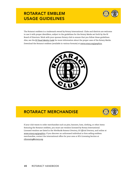# ROTARACT EMBLEM Usage Guidelines



The Rotaract emblem is a trademark owned by Rotary International. Clubs and districts are welcome to use it with proper identifiers, subject to the guidelines for the Rotary Marks set forth by the RI Board of Directors. Work with your sponsor Rotary club to ensure that you follow these guidelines. Also, see the *[RI Visual Identity Guide](http://www.rotary.org/RIdocuments/en_pdf/547en.pdf)* for more information about the proper uses of the Rotary Marks. Download the Rotaract emblem (available in various formats) at [www.rotary.org/graphics](http://www.rotary.org/en/MediaAndNews/Multimedia/Graphics/Pages/ridefault.aspx).



# Rotaract Merchandise



If your club wants to order merchandise such as pins, banners, hats, clothing, or other items featuring the Rotaract emblem, you must use vendors licensed by Rotary International. Licensed vendors are listed in the *Worldwide Rotaract Directory*, *RI Official Directory*, and online at [www.rotary.org/graphics.](http://www.rotary.org/en/MediaAndNews/Multimedia/Graphics/Pages/ridefault.aspx) If you discover an unlicensed individual or firm selling emblem merchandise, contact the international office for your area or RI's Licensing Section at [rilicensing@rotary.org.](mailto:rilicensing@rotary.org)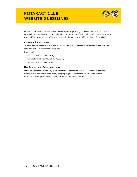# ROTARACT CLUB WEBSITE GUIDELINES



Rotaract clubs are encouraged to set up websites or blogs to stay connected with their sponsor Rotary clubs, other Rotaract clubs, and their community. Consider including links to the websites of your club's sponsor Rotary club and RI. University-based clubs should also link to their school.

#### Choose a domain name

To use a domain name that includes the words Rotaract or Rotary, you must include the name of your Rotaract club or sponsor Rotary club.

For example:

www.anytownrotaractclub.org

www.rotaryclubofanytowndistrict0000.org

www.anytownrotaractors.org

#### Use Rotaract and Rotary emblems

Brand your website by including the Rotaract and Rotary emblems. Check with your sponsor Rotary club to ensure you're following the proper guidelines for the Rotary Marks. Rotary International accepts no responsibility for the content of any non-RI website.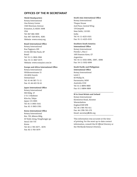#### Offices of the RI Secretariat

#### **World Headquarters**

Rotary International One Rotary Center 1560 Sherman Avenue Evanston, IL 60201-3698 USA Tel: 847-866-3000 Fax: 847-328-8554, -8281 Website: <www.rotary.org>

#### **Brazil International Office**

Rotary International Rua Tagipuru 209 01156-000 São Paulo, SP Brazil Tel: 55-11-3826-2966 Fax: 55-11-3667-6575 Website: <www.rotaryint.com.br>

#### **Europe and Africa International Office**

Rotary International Witikonerstrasse 15 CH-8032 Zurich Switzerland Tel: 41-44-387-71-11 Fax: 41-44-422-50-41

#### **Japan International Office**

Rotary International NS3 Bldg. 1F 2-51-3 Akabane Kita-ku, Tokyo Japan 115-0045 Tel: 81-3-3903-3161 Fax: 81-3-3903-3781

#### **Korea International Office**

Rotary International Rm. 705, Miwon Bldg. 43 Yoido-dong, Yongdungpo-gu Seoul 150-733 Korea Tel: 82-2-783-3077, -3078 Fax: 82-2-783-3079

#### **South Asia International Office**

Rotary International Thapar House 2nd Floor, Central Wing 124 Janpath New Delhi, 110 001 India Tel: 91-11-4225-0101 Fax: 91-11-4225-0191

#### **Southern South America**

**International Office** Rotary International Florida 1, Piso 2 1005 Buenos Aires, CF Argentina Tel: 54-11-5032-0096, -0097, -0098 Fax: 54-11-5032-0099

#### **South Pacific and Philippines**

**International Office** Rotary International Level 2 60 Phillip St. Parramatta, NSW Australia 2150 Tel: 61-2-8894-9800 Fax: 61-2-8894-9899

#### **RI in Great Britain and Ireland**

Rotary International Kinwarton Road, Alcester Warwickshire England B49 6PB Tel: 44-1789-765-411 Fax: 44-1789-765-570 Email: [secretary@ribi.org](mailto:secretary@ribi.org)

This information was accurate at the time of printing. For the most up-to-date contact information, consult the *RI Official Directory* or the *Worldwide Rotaract Directory*.